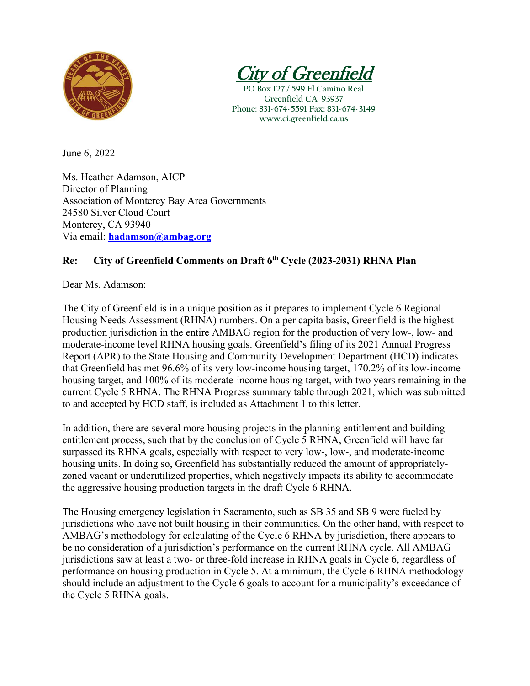

v of Greeni

**PO Box 127 / 599 El Camino Real Greenfield CA 93937 Phone: 831-674-5591 Fax: 831-674-3149 www.ci.greenfield.ca.us**

June 6, 2022

Ms. Heather Adamson, AICP Director of Planning Association of Monterey Bay Area Governments 24580 Silver Cloud Court Monterey, CA 93940 Via email: **[hadamson@ambag.org](mailto:hadamson@ambag.org)**

## **Re: City of Greenfield Comments on Draft 6th Cycle (2023-2031) RHNA Plan**

Dear Ms. Adamson:

The City of Greenfield is in a unique position as it prepares to implement Cycle 6 Regional Housing Needs Assessment (RHNA) numbers. On a per capita basis, Greenfield is the highest production jurisdiction in the entire AMBAG region for the production of very low-, low- and moderate-income level RHNA housing goals. Greenfield's filing of its 2021 Annual Progress Report (APR) to the State Housing and Community Development Department (HCD) indicates that Greenfield has met 96.6% of its very low-income housing target, 170.2% of its low-income housing target, and 100% of its moderate-income housing target, with two years remaining in the current Cycle 5 RHNA. The RHNA Progress summary table through 2021, which was submitted to and accepted by HCD staff, is included as Attachment 1 to this letter.

In addition, there are several more housing projects in the planning entitlement and building entitlement process, such that by the conclusion of Cycle 5 RHNA, Greenfield will have far surpassed its RHNA goals, especially with respect to very low-, low-, and moderate-income housing units. In doing so, Greenfield has substantially reduced the amount of appropriatelyzoned vacant or underutilized properties, which negatively impacts its ability to accommodate the aggressive housing production targets in the draft Cycle 6 RHNA.

The Housing emergency legislation in Sacramento, such as SB 35 and SB 9 were fueled by jurisdictions who have not built housing in their communities. On the other hand, with respect to AMBAG's methodology for calculating of the Cycle 6 RHNA by jurisdiction, there appears to be no consideration of a jurisdiction's performance on the current RHNA cycle. All AMBAG jurisdictions saw at least a two- or three-fold increase in RHNA goals in Cycle 6, regardless of performance on housing production in Cycle 5. At a minimum, the Cycle 6 RHNA methodology should include an adjustment to the Cycle 6 goals to account for a municipality's exceedance of the Cycle 5 RHNA goals.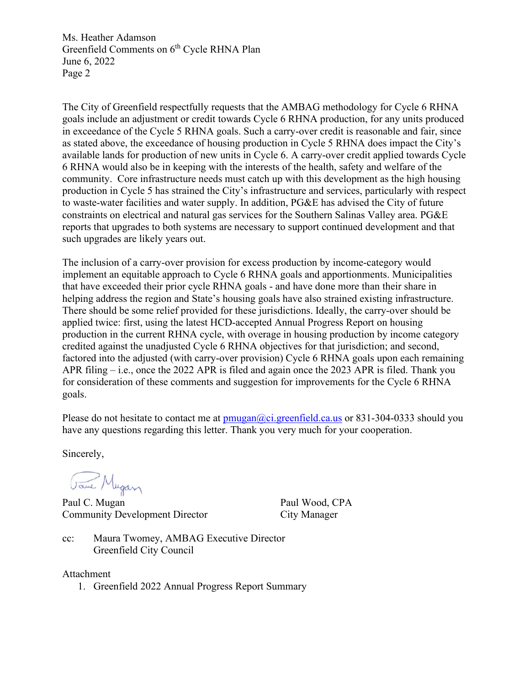Ms. Heather Adamson Greenfield Comments on 6<sup>th</sup> Cycle RHNA Plan June 6, 2022 Page 2

The City of Greenfield respectfully requests that the AMBAG methodology for Cycle 6 RHNA goals include an adjustment or credit towards Cycle 6 RHNA production, for any units produced in exceedance of the Cycle 5 RHNA goals. Such a carry-over credit is reasonable and fair, since as stated above, the exceedance of housing production in Cycle 5 RHNA does impact the City's available lands for production of new units in Cycle 6. A carry-over credit applied towards Cycle 6 RHNA would also be in keeping with the interests of the health, safety and welfare of the community. Core infrastructure needs must catch up with this development as the high housing production in Cycle 5 has strained the City's infrastructure and services, particularly with respect to waste-water facilities and water supply. In addition, PG&E has advised the City of future constraints on electrical and natural gas services for the Southern Salinas Valley area. PG&E reports that upgrades to both systems are necessary to support continued development and that such upgrades are likely years out.

The inclusion of a carry-over provision for excess production by income-category would implement an equitable approach to Cycle 6 RHNA goals and apportionments. Municipalities that have exceeded their prior cycle RHNA goals - and have done more than their share in helping address the region and State's housing goals have also strained existing infrastructure. There should be some relief provided for these jurisdictions. Ideally, the carry-over should be applied twice: first, using the latest HCD-accepted Annual Progress Report on housing production in the current RHNA cycle, with overage in housing production by income category credited against the unadjusted Cycle 6 RHNA objectives for that jurisdiction; and second, factored into the adjusted (with carry-over provision) Cycle 6 RHNA goals upon each remaining APR filing – i.e., once the 2022 APR is filed and again once the 2023 APR is filed. Thank you for consideration of these comments and suggestion for improvements for the Cycle 6 RHNA goals.

Please do not hesitate to contact me at  $pmuqan(\omega_c)$ ; greenfield.ca.us or 831-304-0333 should you have any questions regarding this letter. Thank you very much for your cooperation.

Sincerely,

Jane Mugan

Paul C. Mugan Paul Wood, CPA Community Development Director City Manager

cc: Maura Twomey, AMBAG Executive Director Greenfield City Council

Attachment

1. Greenfield 2022 Annual Progress Report Summary